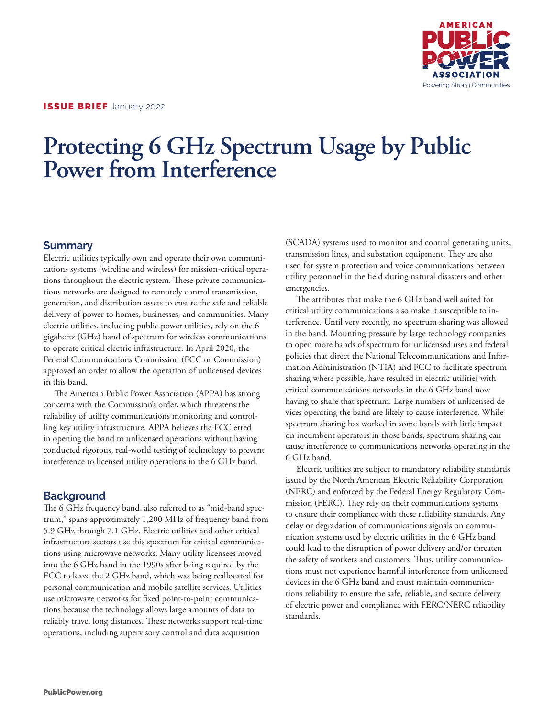

# **Protecting 6 GHz Spectrum Usage by Public Power from Interference**

#### **Summary**

Electric utilities typically own and operate their own communications systems (wireline and wireless) for mission-critical operations throughout the electric system. These private communications networks are designed to remotely control transmission, generation, and distribution assets to ensure the safe and reliable delivery of power to homes, businesses, and communities. Many electric utilities, including public power utilities, rely on the 6 gigahertz (GHz) band of spectrum for wireless communications to operate critical electric infrastructure. In April 2020, the Federal Communications Commission (FCC or Commission) approved an order to allow the operation of unlicensed devices in this band.

The American Public Power Association (APPA) has strong concerns with the Commission's order, which threatens the reliability of utility communications monitoring and controlling key utility infrastructure. APPA believes the FCC erred in opening the band to unlicensed operations without having conducted rigorous, real-world testing of technology to prevent interference to licensed utility operations in the 6 GHz band.

## **Background**

The 6 GHz frequency band, also referred to as "mid-band spectrum," spans approximately 1,200 MHz of frequency band from 5.9 GHz through 7.1 GHz. Electric utilities and other critical infrastructure sectors use this spectrum for critical communications using microwave networks. Many utility licensees moved into the 6 GHz band in the 1990s after being required by the FCC to leave the 2 GHz band, which was being reallocated for personal communication and mobile satellite services. Utilities use microwave networks for fixed point-to-point communications because the technology allows large amounts of data to reliably travel long distances. These networks support real-time operations, including supervisory control and data acquisition

(SCADA) systems used to monitor and control generating units, transmission lines, and substation equipment. They are also used for system protection and voice communications between utility personnel in the field during natural disasters and other emergencies.

The attributes that make the 6 GHz band well suited for critical utility communications also make it susceptible to interference. Until very recently, no spectrum sharing was allowed in the band. Mounting pressure by large technology companies to open more bands of spectrum for unlicensed uses and federal policies that direct the National Telecommunications and Information Administration (NTIA) and FCC to facilitate spectrum sharing where possible, have resulted in electric utilities with critical communications networks in the 6 GHz band now having to share that spectrum. Large numbers of unlicensed devices operating the band are likely to cause interference. While spectrum sharing has worked in some bands with little impact on incumbent operators in those bands, spectrum sharing can cause interference to communications networks operating in the 6 GHz band.

Electric utilities are subject to mandatory reliability standards issued by the North American Electric Reliability Corporation (NERC) and enforced by the Federal Energy Regulatory Commission (FERC). They rely on their communications systems to ensure their compliance with these reliability standards. Any delay or degradation of communications signals on communication systems used by electric utilities in the 6 GHz band could lead to the disruption of power delivery and/or threaten the safety of workers and customers. Thus, utility communications must not experience harmful interference from unlicensed devices in the 6 GHz band and must maintain communications reliability to ensure the safe, reliable, and secure delivery of electric power and compliance with FERC/NERC reliability standards.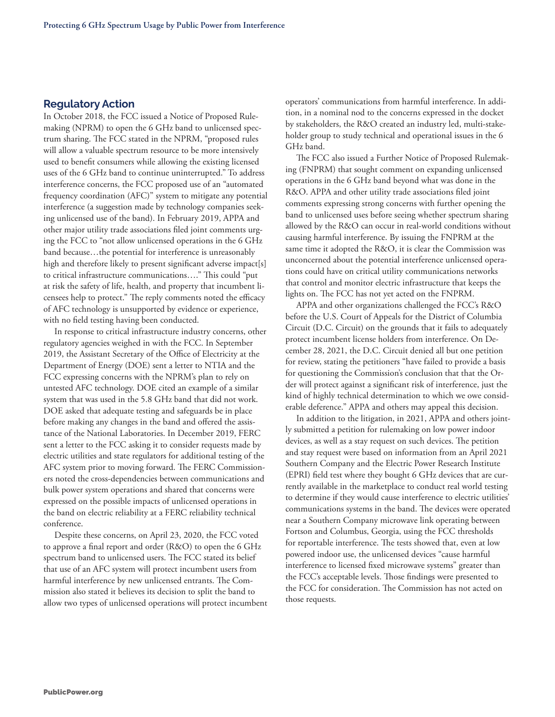#### **Regulatory Action**

In October 2018, the FCC issued a Notice of Proposed Rulemaking (NPRM) to open the 6 GHz band to unlicensed spectrum sharing. The FCC stated in the NPRM, "proposed rules will allow a valuable spectrum resource to be more intensively used to benefit consumers while allowing the existing licensed uses of the 6 GHz band to continue uninterrupted." To address interference concerns, the FCC proposed use of an "automated frequency coordination (AFC)" system to mitigate any potential interference (a suggestion made by technology companies seeking unlicensed use of the band). In February 2019, APPA and other major utility trade associations filed joint comments urging the FCC to "not allow unlicensed operations in the 6 GHz band because…the potential for interference is unreasonably high and therefore likely to present significant adverse impact[s] to critical infrastructure communications…." This could "put at risk the safety of life, health, and property that incumbent licensees help to protect." The reply comments noted the efficacy of AFC technology is unsupported by evidence or experience, with no field testing having been conducted.

In response to critical infrastructure industry concerns, other regulatory agencies weighed in with the FCC. In September 2019, the Assistant Secretary of the Office of Electricity at the Department of Energy (DOE) sent a letter to NTIA and the FCC expressing concerns with the NPRM's plan to rely on untested AFC technology. DOE cited an example of a similar system that was used in the 5.8 GHz band that did not work. DOE asked that adequate testing and safeguards be in place before making any changes in the band and offered the assistance of the National Laboratories. In December 2019, FERC sent a letter to the FCC asking it to consider requests made by electric utilities and state regulators for additional testing of the AFC system prior to moving forward. The FERC Commissioners noted the cross-dependencies between communications and bulk power system operations and shared that concerns were expressed on the possible impacts of unlicensed operations in the band on electric reliability at a FERC reliability technical conference.

Despite these concerns, on April 23, 2020, the FCC voted to approve a final report and order (R&O) to open the 6 GHz spectrum band to unlicensed users. The FCC stated its belief that use of an AFC system will protect incumbent users from harmful interference by new unlicensed entrants. The Commission also stated it believes its decision to split the band to allow two types of unlicensed operations will protect incumbent operators' communications from harmful interference. In addition, in a nominal nod to the concerns expressed in the docket by stakeholders, the R&O created an industry led, multi-stakeholder group to study technical and operational issues in the 6 GHz band.

The FCC also issued a Further Notice of Proposed Rulemaking (FNPRM) that sought comment on expanding unlicensed operations in the 6 GHz band beyond what was done in the R&O. APPA and other utility trade associations filed joint comments expressing strong concerns with further opening the band to unlicensed uses before seeing whether spectrum sharing allowed by the R&O can occur in real-world conditions without causing harmful interference. By issuing the FNPRM at the same time it adopted the R&O, it is clear the Commission was unconcerned about the potential interference unlicensed operations could have on critical utility communications networks that control and monitor electric infrastructure that keeps the lights on. The FCC has not yet acted on the FNPRM.

APPA and other organizations challenged the FCC's R&O before the U.S. Court of Appeals for the District of Columbia Circuit (D.C. Circuit) on the grounds that it fails to adequately protect incumbent license holders from interference. On December 28, 2021, the D.C. Circuit denied all but one petition for review, stating the petitioners "have failed to provide a basis for questioning the Commission's conclusion that that the Order will protect against a significant risk of interference, just the kind of highly technical determination to which we owe considerable deference." APPA and others may appeal this decision.

In addition to the litigation, in 2021, APPA and others jointly submitted a petition for rulemaking on low power indoor devices, as well as a stay request on such devices. The petition and stay request were based on information from an April 2021 Southern Company and the Electric Power Research Institute (EPRI) field test where they bought 6 GHz devices that are currently available in the marketplace to conduct real world testing to determine if they would cause interference to electric utilities' communications systems in the band. The devices were operated near a Southern Company microwave link operating between Fortson and Columbus, Georgia, using the FCC thresholds for reportable interference. The tests showed that, even at low powered indoor use, the unlicensed devices "cause harmful interference to licensed fixed microwave systems" greater than the FCC's acceptable levels. Those findings were presented to the FCC for consideration. The Commission has not acted on those requests.